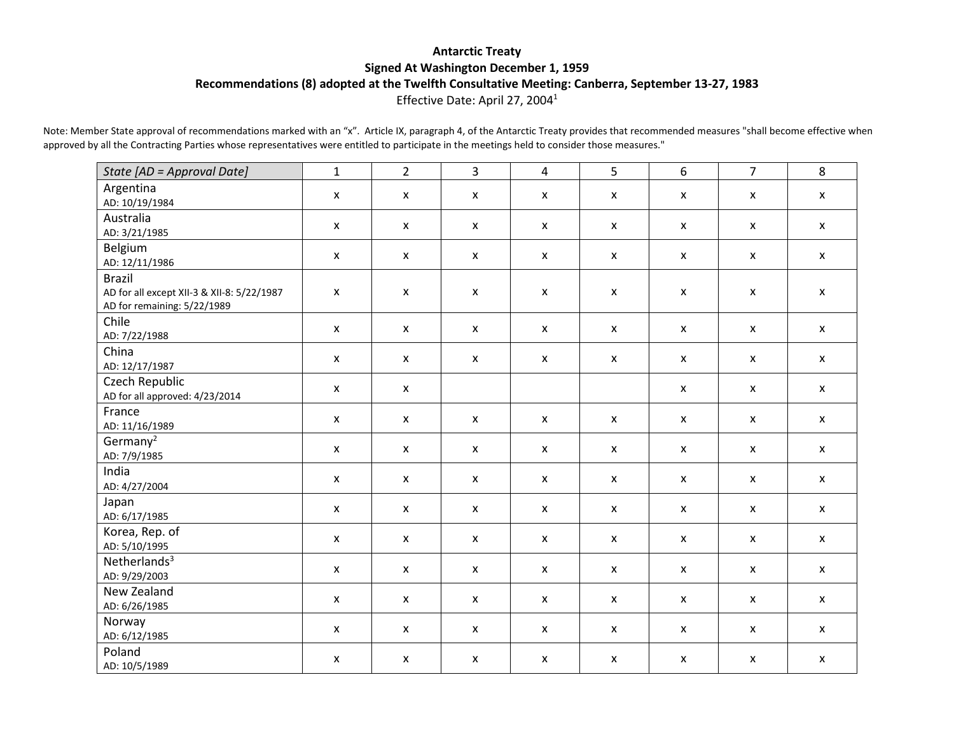## **Antarctic Treaty Signed At Washington December 1, 1959 Recommendations (8) adopted at the Twelfth Consultative Meeting: Canberra, September 13-27, 1983** Effective Date: April 27, 20041

Note: Member State approval of recommendations marked with an "x". Article IX, paragraph 4, of the Antarctic Treaty provides that recommended measures "shall become effective when approved by all the Contracting Parties whose representatives were entitled to participate in the meetings held to consider those measures."

| State [AD = Approval Date]                                                                 | $\mathbf{1}$              | $\overline{2}$            | $\overline{3}$            | 4                         | $\overline{5}$     | 6                         | $\overline{7}$            | 8                  |
|--------------------------------------------------------------------------------------------|---------------------------|---------------------------|---------------------------|---------------------------|--------------------|---------------------------|---------------------------|--------------------|
| Argentina<br>AD: 10/19/1984                                                                | $\boldsymbol{\mathsf{x}}$ | $\boldsymbol{\mathsf{x}}$ | $\boldsymbol{\mathsf{x}}$ | X                         | X                  | X                         | $\boldsymbol{\mathsf{x}}$ | $\pmb{\mathsf{X}}$ |
| Australia<br>AD: 3/21/1985                                                                 | $\mathsf{x}$              | $\pmb{\mathsf{X}}$        | $\boldsymbol{\mathsf{x}}$ | $\pmb{\mathsf{X}}$        | $\pmb{\mathsf{X}}$ | $\mathsf{X}$              | $\pmb{\mathsf{X}}$        | $\pmb{\mathsf{X}}$ |
| Belgium<br>AD: 12/11/1986                                                                  | $\pmb{\mathsf{X}}$        | $\boldsymbol{\mathsf{x}}$ | $\boldsymbol{\mathsf{x}}$ | $\boldsymbol{\mathsf{x}}$ | $\pmb{\mathsf{X}}$ | X                         | $\boldsymbol{\mathsf{x}}$ | $\mathsf{x}$       |
| <b>Brazil</b><br>AD for all except XII-3 & XII-8: 5/22/1987<br>AD for remaining: 5/22/1989 | $\pmb{\mathsf{X}}$        | $\pmb{\mathsf{X}}$        | $\pmb{\mathsf{X}}$        | $\pmb{\mathsf{X}}$        | $\pmb{\mathsf{X}}$ | $\pmb{\mathsf{X}}$        | $\pmb{\mathsf{X}}$        | $\pmb{\mathsf{X}}$ |
| Chile<br>AD: 7/22/1988                                                                     | $\mathsf{x}$              | $\mathsf{x}$              | $\mathsf{x}$              | X                         | $\mathsf{x}$       | $\pmb{\mathsf{X}}$        | $\mathsf{x}$              | $\pmb{\mathsf{X}}$ |
| China<br>AD: 12/17/1987                                                                    | $\mathsf{x}$              | $\mathsf{x}$              | $\boldsymbol{\mathsf{x}}$ | $\mathsf{x}$              | $\mathsf{x}$       | $\mathsf{x}$              | $\boldsymbol{\mathsf{x}}$ | $\mathsf{x}$       |
| Czech Republic<br>AD for all approved: 4/23/2014                                           | $\pmb{\mathsf{X}}$        | $\boldsymbol{\mathsf{x}}$ |                           |                           |                    | $\pmb{\mathsf{X}}$        | $\boldsymbol{\mathsf{x}}$ | $\pmb{\mathsf{X}}$ |
| France<br>AD: 11/16/1989                                                                   | $\pmb{\mathsf{X}}$        | $\pmb{\mathsf{X}}$        | $\boldsymbol{\mathsf{x}}$ | $\mathsf{x}$              | $\mathsf{x}$       | $\pmb{\mathsf{X}}$        | $\pmb{\mathsf{X}}$        | $\pmb{\mathsf{X}}$ |
| Germany <sup>2</sup><br>AD: 7/9/1985                                                       | $\pmb{\mathsf{X}}$        | $\pmb{\chi}$              | $\boldsymbol{\mathsf{x}}$ | $\boldsymbol{\mathsf{x}}$ | $\pmb{\mathsf{X}}$ | $\pmb{\mathsf{X}}$        | $\pmb{\mathsf{X}}$        | $\mathsf{x}$       |
| India<br>AD: 4/27/2004                                                                     | $\mathsf{x}$              | $\pmb{\mathsf{X}}$        | $\pmb{\mathsf{X}}$        | $\pmb{\mathsf{X}}$        | $\pmb{\mathsf{X}}$ | $\pmb{\mathsf{X}}$        | $\pmb{\mathsf{X}}$        | $\pmb{\mathsf{X}}$ |
| Japan<br>AD: 6/17/1985                                                                     | $\mathsf{x}$              | $\mathsf{x}$              | $\boldsymbol{\mathsf{x}}$ | $\mathsf{x}$              | $\mathsf{x}$       | $\mathsf{x}$              | $\boldsymbol{\mathsf{x}}$ | $\mathsf{x}$       |
| Korea, Rep. of<br>AD: 5/10/1995                                                            | $\pmb{\mathsf{X}}$        | $\pmb{\mathsf{X}}$        | $\boldsymbol{\mathsf{x}}$ | $\boldsymbol{\mathsf{x}}$ | $\mathsf{x}$       | $\pmb{\mathsf{X}}$        | $\pmb{\mathsf{x}}$        | $\mathsf{x}$       |
| Netherlands $3$<br>AD: 9/29/2003                                                           | $\mathsf{x}$              | $\mathsf{x}$              | $\boldsymbol{\mathsf{x}}$ | $\mathsf{x}$              | $\mathsf{x}$       | $\mathsf{X}$              | $\mathsf{x}$              | $\mathsf{x}$       |
| New Zealand<br>AD: 6/26/1985                                                               | $\boldsymbol{\mathsf{x}}$ | $\boldsymbol{\mathsf{x}}$ | $\boldsymbol{\mathsf{x}}$ | $\mathsf{x}$              | $\pmb{\mathsf{X}}$ | $\boldsymbol{\mathsf{x}}$ | $\boldsymbol{\mathsf{x}}$ | $\mathsf{x}$       |
| Norway<br>AD: 6/12/1985                                                                    | $\mathsf{x}$              | $\mathsf{x}$              | $\boldsymbol{\mathsf{x}}$ | $\mathsf{x}$              | $\mathsf{x}$       | $\mathsf{x}$              | $\boldsymbol{\mathsf{x}}$ | $\pmb{\mathsf{X}}$ |
| Poland<br>AD: 10/5/1989                                                                    | $\mathsf{x}$              | X                         | $\boldsymbol{\mathsf{x}}$ | $\pmb{\mathsf{X}}$        | $\mathsf{x}$       | $\pmb{\mathsf{X}}$        | $\boldsymbol{\mathsf{x}}$ | $\pmb{\mathsf{X}}$ |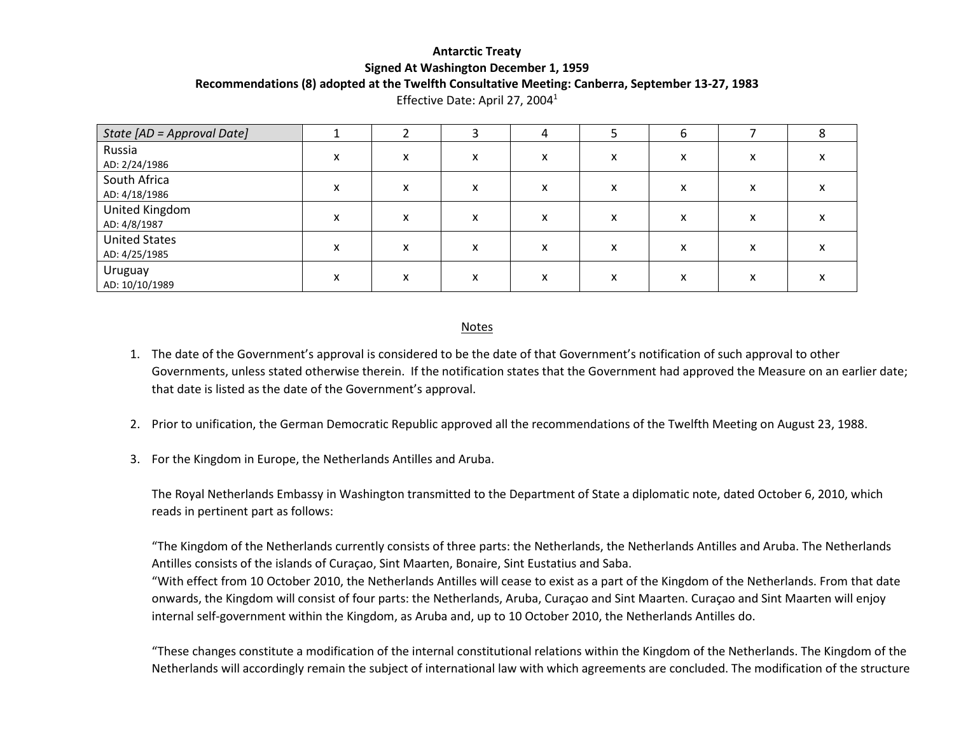## **Antarctic Treaty Signed At Washington December 1, 1959 Recommendations (8) adopted at the Twelfth Consultative Meeting: Canberra, September 13-27, 1983**

| State [AD = Approval Date]            |   |   |                           | 4                         |   | b |   |           |
|---------------------------------------|---|---|---------------------------|---------------------------|---|---|---|-----------|
| Russia<br>AD: 2/24/1986               | x | x | x                         | x                         | x | x | х | $\lambda$ |
| South Africa<br>AD: 4/18/1986         | x | x | $\checkmark$<br>$\lambda$ | $\checkmark$<br>^         | x | x | х |           |
| United Kingdom<br>AD: 4/8/1987        | x | x | x                         | $\checkmark$<br>$\lambda$ | x | x | х | $\lambda$ |
| <b>United States</b><br>AD: 4/25/1985 | x | x | $\checkmark$<br>v         | x                         | x | x | х | $\lambda$ |
| Uruguay<br>AD: 10/10/1989             | x | x | $\check{}$<br>$\lambda$   | v<br>^                    | x | x | х |           |

Effective Date: April 27, 20041

## Notes

- 1. The date of the Government's approval is considered to be the date of that Government's notification of such approval to other Governments, unless stated otherwise therein. If the notification states that the Government had approved the Measure on an earlier date; that date is listed as the date of the Government's approval.
- 2. Prior to unification, the German Democratic Republic approved all the recommendations of the Twelfth Meeting on August 23, 1988.
- 3. For the Kingdom in Europe, the Netherlands Antilles and Aruba.

The Royal Netherlands Embassy in Washington transmitted to the Department of State a diplomatic note, dated October 6, 2010, which reads in pertinent part as follows:

"The Kingdom of the Netherlands currently consists of three parts: the Netherlands, the Netherlands Antilles and Aruba. The Netherlands Antilles consists of the islands of Curaçao, Sint Maarten, Bonaire, Sint Eustatius and Saba.

"With effect from 10 October 2010, the Netherlands Antilles will cease to exist as a part of the Kingdom of the Netherlands. From that date onwards, the Kingdom will consist of four parts: the Netherlands, Aruba, Curaçao and Sint Maarten. Curaçao and Sint Maarten will enjoy internal self-government within the Kingdom, as Aruba and, up to 10 October 2010, the Netherlands Antilles do.

"These changes constitute a modification of the internal constitutional relations within the Kingdom of the Netherlands. The Kingdom of the Netherlands will accordingly remain the subject of international law with which agreements are concluded. The modification of the structure